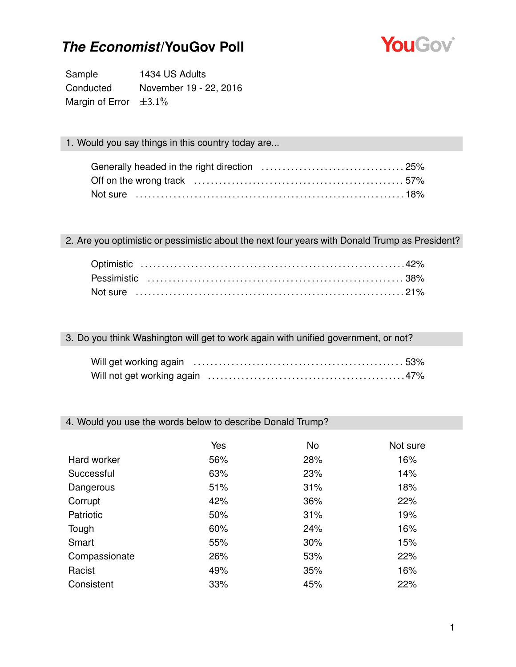

Sample 1434 US Adults Conducted November 19 - 22, 2016 Margin of Error  $\pm 3.1\%$ 

### 1. Would you say things in this country today are...

#### 2. Are you optimistic or pessimistic about the next four years with Donald Trump as President?

#### 3. Do you think Washington will get to work again with unified government, or not?

#### 4. Would you use the words below to describe Donald Trump?

|               | Yes | <b>No</b> | Not sure |
|---------------|-----|-----------|----------|
| Hard worker   | 56% | 28%       | 16%      |
| Successful    | 63% | 23%       | 14%      |
| Dangerous     | 51% | 31%       | 18%      |
| Corrupt       | 42% | 36%       | 22%      |
| Patriotic     | 50% | 31%       | 19%      |
| Tough         | 60% | 24%       | 16%      |
| Smart         | 55% | 30%       | 15%      |
| Compassionate | 26% | 53%       | 22%      |
| Racist        | 49% | 35%       | 16%      |
| Consistent    | 33% | 45%       | 22%      |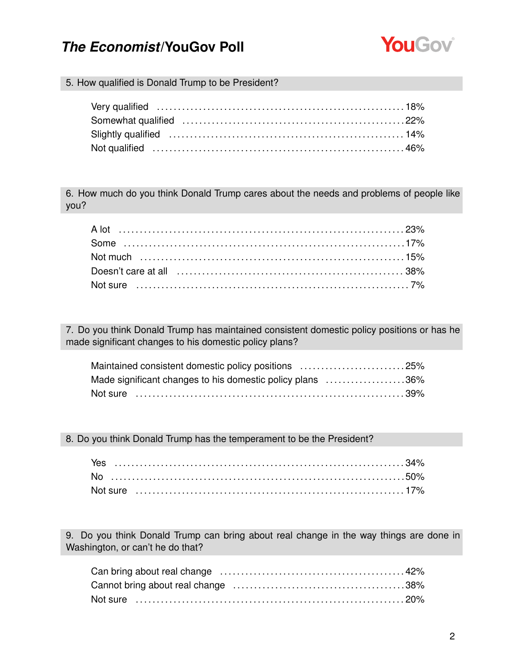

5. How qualified is Donald Trump to be President?

| Very qualified (and according to the control of the control of the vertex of the vertex of the vertex of the v |  |
|----------------------------------------------------------------------------------------------------------------|--|
|                                                                                                                |  |
| Slightly qualified (and increase in the set of the set of the set of the set of the suite of the set of the s  |  |
| Not qualified (and according to the control of the control of the control of the qualified (and the control of |  |

6. How much do you think Donald Trump cares about the needs and problems of people like you?

7. Do you think Donald Trump has maintained consistent domestic policy positions or has he made significant changes to his domestic policy plans?

| Maintained consistent domestic policy positions 25%       |  |
|-----------------------------------------------------------|--|
| Made significant changes to his domestic policy plans 36% |  |
|                                                           |  |

8. Do you think Donald Trump has the temperament to be the President?

| Yes |  |  |  |  |  |  |  |  |  |
|-----|--|--|--|--|--|--|--|--|--|
|     |  |  |  |  |  |  |  |  |  |
|     |  |  |  |  |  |  |  |  |  |

9. Do you think Donald Trump can bring about real change in the way things are done in Washington, or can't he do that?

| Not sure ………………………………………………………………………20% |  |
|-----------------------------------------|--|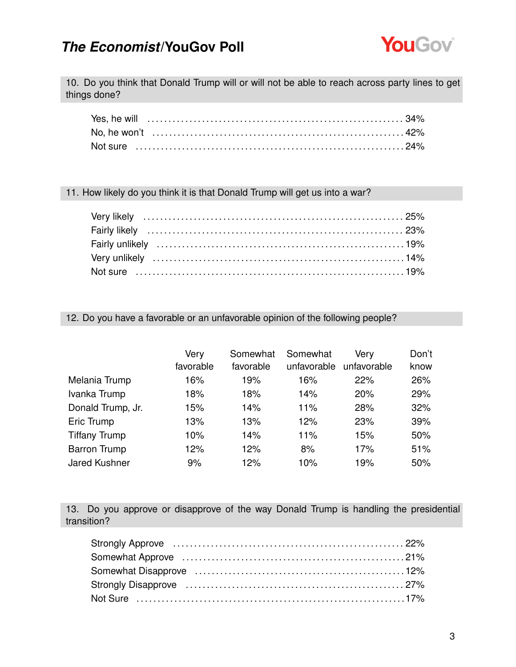

10. Do you think that Donald Trump will or will not be able to reach across party lines to get things done?

### 11. How likely do you think it is that Donald Trump will get us into a war?

### 12. Do you have a favorable or an unfavorable opinion of the following people?

|                      | Very<br>favorable | Somewhat<br>favorable | Somewhat<br>unfavorable | Very<br>unfavorable | Don't<br>know |
|----------------------|-------------------|-----------------------|-------------------------|---------------------|---------------|
| Melania Trump        | 16%               | 19%                   | 16%                     | 22%                 | 26%           |
| Ivanka Trump         | 18%               | 18%                   | 14%                     | 20%                 | 29%           |
| Donald Trump, Jr.    | 15%               | 14%                   | 11%                     | 28%                 | 32%           |
| Eric Trump           | 13%               | 13%                   | 12%                     | 23%                 | 39%           |
| <b>Tiffany Trump</b> | 10%               | 14%                   | 11%                     | 15%                 | 50%           |
| <b>Barron Trump</b>  | 12%               | 12%                   | 8%                      | 17%                 | 51%           |
| <b>Jared Kushner</b> | 9%                | 12%                   | 10%                     | 19%                 | 50%           |

13. Do you approve or disapprove of the way Donald Trump is handling the presidential transition?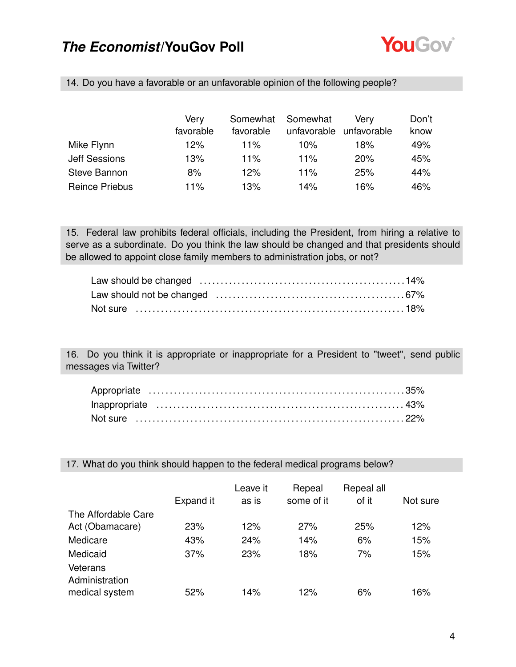

|                      | Very<br>favorable | Somewhat<br>favorable | Somewhat | Verv<br>unfavorable unfavorable | Don't<br>know |  |
|----------------------|-------------------|-----------------------|----------|---------------------------------|---------------|--|
| Mike Flynn           | 12%               | 11%                   | $10\%$   | 18%                             | 49%           |  |
| <b>Jeff Sessions</b> | 13%               | 11%                   | 11%      | 20%                             | 45%           |  |
| Steve Bannon         | 8%                | 12%                   | 11%      | 25%                             | 44%           |  |

Reince Priebus 11% 13% 14% 16% 46%

14. Do you have a favorable or an unfavorable opinion of the following people?

15. Federal law prohibits federal officials, including the President, from hiring a relative to serve as a subordinate. Do you think the law should be changed and that presidents should be allowed to appoint close family members to administration jobs, or not?

16. Do you think it is appropriate or inappropriate for a President to "tweet", send public messages via Twitter?

17. What do you think should happen to the federal medical programs below?

|                            | Expand it | Leave it<br>as is | Repeal<br>some of it | Repeal all<br>of it | Not sure |
|----------------------------|-----------|-------------------|----------------------|---------------------|----------|
| The Affordable Care        |           |                   |                      |                     |          |
| Act (Obamacare)            | 23%       | 12%               | 27%                  | 25%                 | 12%      |
| Medicare                   | 43%       | 24%               | 14%                  | 6%                  | 15%      |
| Medicaid                   | 37%       | 23%               | 18%                  | 7%                  | 15%      |
| Veterans<br>Administration |           |                   |                      |                     |          |
| medical system             | 52%       | 14%               | 12%                  | 6%                  | 16%      |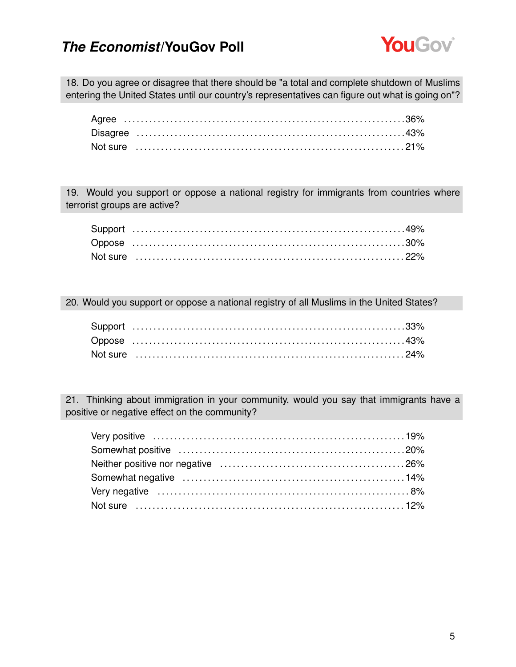

18. Do you agree or disagree that there should be "a total and complete shutdown of Muslims entering the United States until our country's representatives can figure out what is going on"?

19. Would you support or oppose a national registry for immigrants from countries where terrorist groups are active?

20. Would you support or oppose a national registry of all Muslims in the United States?

21. Thinking about immigration in your community, would you say that immigrants have a positive or negative effect on the community?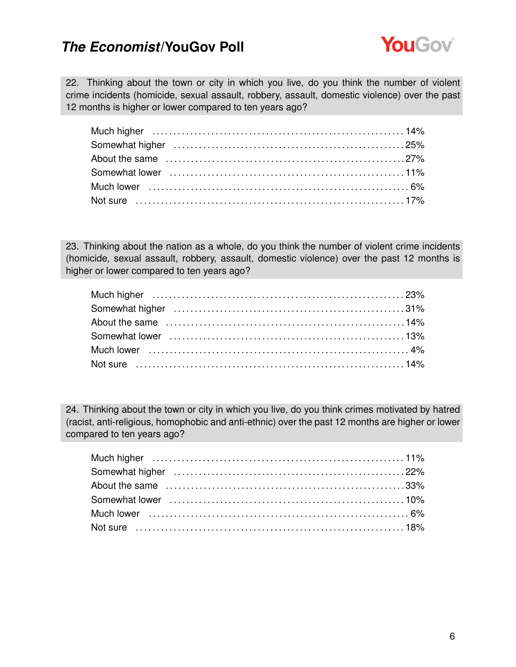

22. Thinking about the town or city in which you live, do you think the number of violent crime incidents (homicide, sexual assault, robbery, assault, domestic violence) over the past 12 months is higher or lower compared to ten years ago?

23. Thinking about the nation as a whole, do you think the number of violent crime incidents (homicide, sexual assault, robbery, assault, domestic violence) over the past 12 months is higher or lower compared to ten years ago?

24. Thinking about the town or city in which you live, do you think crimes motivated by hatred (racist, anti-religious, homophobic and anti-ethnic) over the past 12 months are higher or lower compared to ten years ago?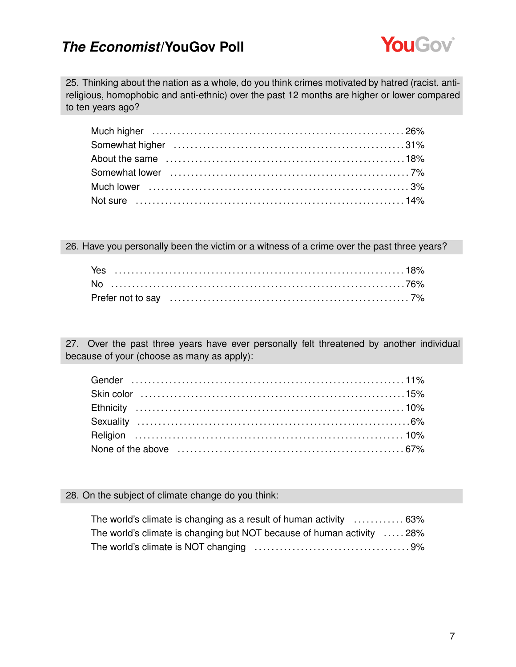

25. Thinking about the nation as a whole, do you think crimes motivated by hatred (racist, antireligious, homophobic and anti-ethnic) over the past 12 months are higher or lower compared to ten years ago?

26. Have you personally been the victim or a witness of a crime over the past three years?

27. Over the past three years have ever personally felt threatened by another individual because of your (choose as many as apply):

| Skin color (a) 15% (19%) since the color of the color color (15% of the color (15%) since the color of the color |  |
|------------------------------------------------------------------------------------------------------------------|--|
|                                                                                                                  |  |
|                                                                                                                  |  |
|                                                                                                                  |  |
|                                                                                                                  |  |

#### 28. On the subject of climate change do you think:

| The world's climate is changing as a result of human activity  63%     |  |
|------------------------------------------------------------------------|--|
| The world's climate is changing but NOT because of human activity  28% |  |
|                                                                        |  |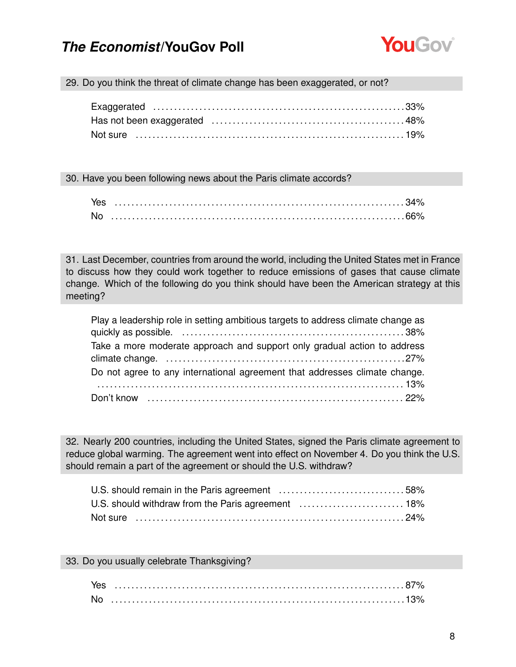

29. Do you think the threat of climate change has been exaggerated, or not?

30. Have you been following news about the Paris climate accords?

| Yes       |  |
|-----------|--|
| <b>No</b> |  |

31. Last December, countries from around the world, including the United States met in France to discuss how they could work together to reduce emissions of gases that cause climate change. Which of the following do you think should have been the American strategy at this meeting?

| Play a leadership role in setting ambitious targets to address climate change as |  |
|----------------------------------------------------------------------------------|--|
|                                                                                  |  |
| Take a more moderate approach and support only gradual action to address         |  |
| Do not agree to any international agreement that addresses climate change.       |  |
|                                                                                  |  |

32. Nearly 200 countries, including the United States, signed the Paris climate agreement to reduce global warming. The agreement went into effect on November 4. Do you think the U.S. should remain a part of the agreement or should the U.S. withdraw?

33. Do you usually celebrate Thanksgiving?

| Yes       |  |
|-----------|--|
| <b>No</b> |  |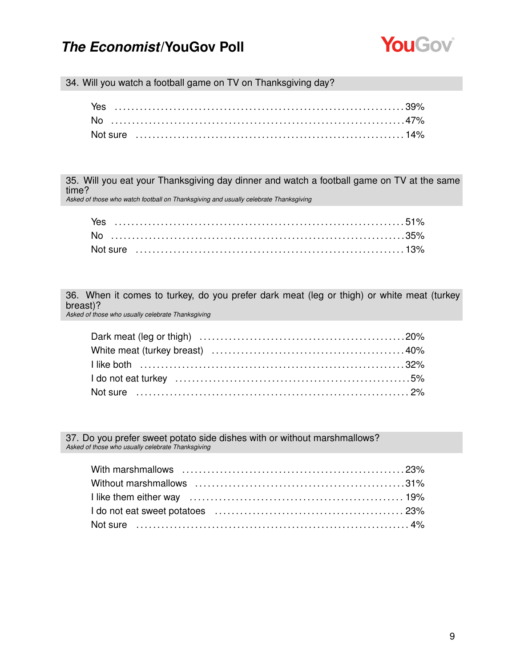

34. Will you watch a football game on TV on Thanksgiving day?

| Yes |  |
|-----|--|
|     |  |
|     |  |

35. Will you eat your Thanksgiving day dinner and watch a football game on TV at the same time?

*Asked of those who watch football on Thanksgiving and usually celebrate Thanksgiving*

| Yes |  |
|-----|--|
| No  |  |
|     |  |

36. When it comes to turkey, do you prefer dark meat (leg or thigh) or white meat (turkey breast)? *Asked of those who usually celebrate Thanksgiving*

37. Do you prefer sweet potato side dishes with or without marshmallows? *Asked of those who usually celebrate Thanksgiving*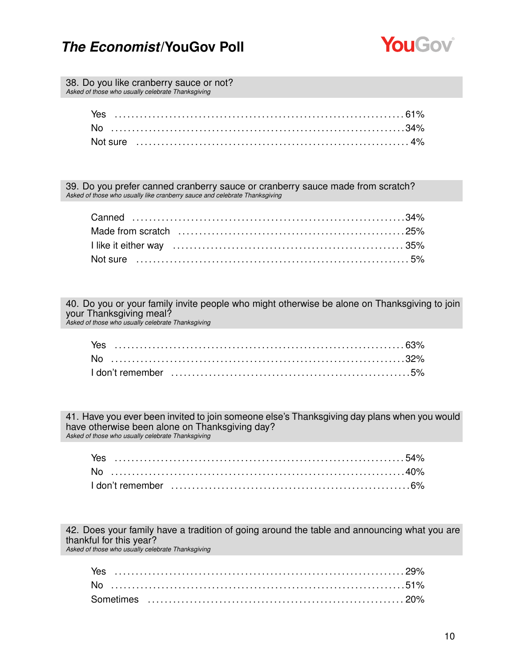

38. Do you like cranberry sauce or not? *Asked of those who usually celebrate Thanksgiving*

39. Do you prefer canned cranberry sauce or cranberry sauce made from scratch? *Asked of those who usually like cranberry sauce and celebrate Thanksgiving*

40. Do you or your family invite people who might otherwise be alone on Thanksgiving to join your Thanksgiving meal?

*Asked of those who usually celebrate Thanksgiving*

41. Have you ever been invited to join someone else's Thanksgiving day plans when you would have otherwise been alone on Thanksgiving day? *Asked of those who usually celebrate Thanksgiving*

42. Does your family have a tradition of going around the table and announcing what you are thankful for this year? *Asked of those who usually celebrate Thanksgiving*

Yes . . . . . . . . . . . . . . . . . . . . . . . . . . . . . . . . . . . . . . . . . . . . . . . . . . . . . . . . . . . . . . . . . . . . . 29% No . . . . . . . . . . . . . . . . . . . . . . . . . . . . . . . . . . . . . . . . . . . . . . . . . . . . . . . . . . . . . . . . . . . . . . 51% Sometimes . . . . . . . . . . . . . . . . . . . . . . . . . . . . . . . . . . . . . . . . . . . . . . . . . . . . . . . . . . . . . 20%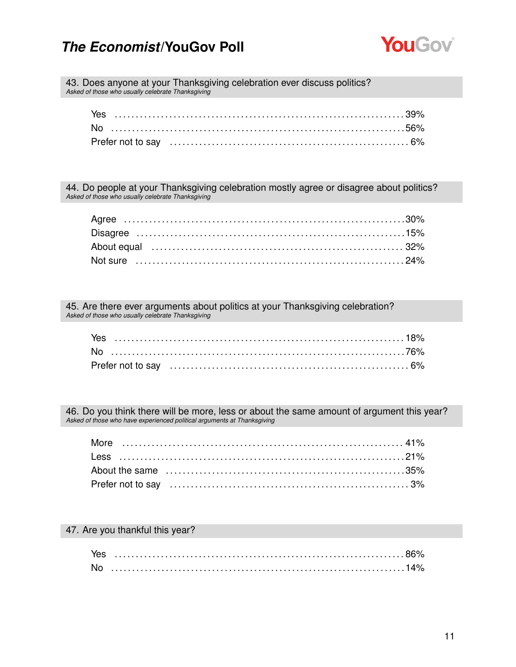

43. Does anyone at your Thanksgiving celebration ever discuss politics? *Asked of those who usually celebrate Thanksgiving*

44. Do people at your Thanksgiving celebration mostly agree or disagree about politics? *Asked of those who usually celebrate Thanksgiving*

45. Are there ever arguments about politics at your Thanksgiving celebration? *Asked of those who usually celebrate Thanksgiving*

46. Do you think there will be more, less or about the same amount of argument this year? *Asked of those who have experienced political arguments at Thanksgiving*

#### 47. Are you thankful this year?

| Yes |  |
|-----|--|
| Nc  |  |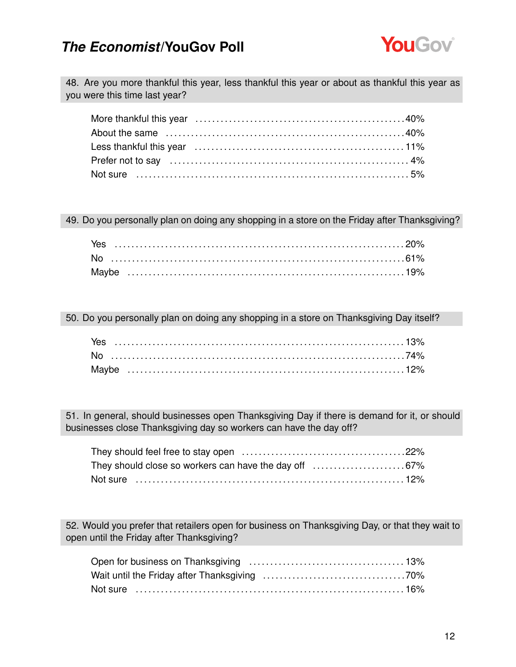

48. Are you more thankful this year, less thankful this year or about as thankful this year as you were this time last year?

49. Do you personally plan on doing any shopping in a store on the Friday after Thanksgiving?

50. Do you personally plan on doing any shopping in a store on Thanksgiving Day itself?

| Yes |  |  |  |  |  |  |  |  |  |  |  |  |  |  |  |  |  |  |  |  |  |  |  |  |  |  |
|-----|--|--|--|--|--|--|--|--|--|--|--|--|--|--|--|--|--|--|--|--|--|--|--|--|--|--|
|     |  |  |  |  |  |  |  |  |  |  |  |  |  |  |  |  |  |  |  |  |  |  |  |  |  |  |
|     |  |  |  |  |  |  |  |  |  |  |  |  |  |  |  |  |  |  |  |  |  |  |  |  |  |  |

51. In general, should businesses open Thanksgiving Day if there is demand for it, or should businesses close Thanksgiving day so workers can have the day off?

52. Would you prefer that retailers open for business on Thanksgiving Day, or that they wait to open until the Friday after Thanksgiving?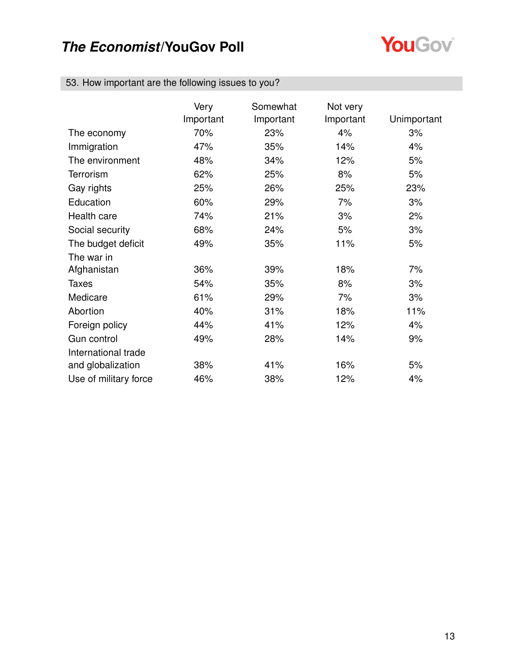

### 53. How important are the following issues to you?

|                       | Very      | Somewhat  | Not very  |             |
|-----------------------|-----------|-----------|-----------|-------------|
|                       | Important | Important | Important | Unimportant |
| The economy           | 70%       | 23%       | 4%        | 3%          |
| Immigration           | 47%       | 35%       | 14%       | 4%          |
| The environment       | 48%       | 34%       | 12%       | 5%          |
| <b>Terrorism</b>      | 62%       | 25%       | 8%        | 5%          |
| Gay rights            | 25%       | 26%       | 25%       | 23%         |
| Education             | 60%       | 29%       | 7%        | 3%          |
| Health care           | 74%       | 21%       | 3%        | 2%          |
| Social security       | 68%       | 24%       | 5%        | 3%          |
| The budget deficit    | 49%       | 35%       | 11%       | 5%          |
| The war in            |           |           |           |             |
| Afghanistan           | 36%       | 39%       | 18%       | 7%          |
| Taxes                 | 54%       | 35%       | 8%        | 3%          |
| Medicare              | 61%       | 29%       | 7%        | 3%          |
| Abortion              | 40%       | 31%       | 18%       | 11%         |
| Foreign policy        | 44%       | 41%       | 12%       | 4%          |
| Gun control           | 49%       | 28%       | 14%       | 9%          |
| International trade   |           |           |           |             |
| and globalization     | 38%       | 41%       | 16%       | 5%          |
| Use of military force | 46%       | 38%       | 12%       | 4%          |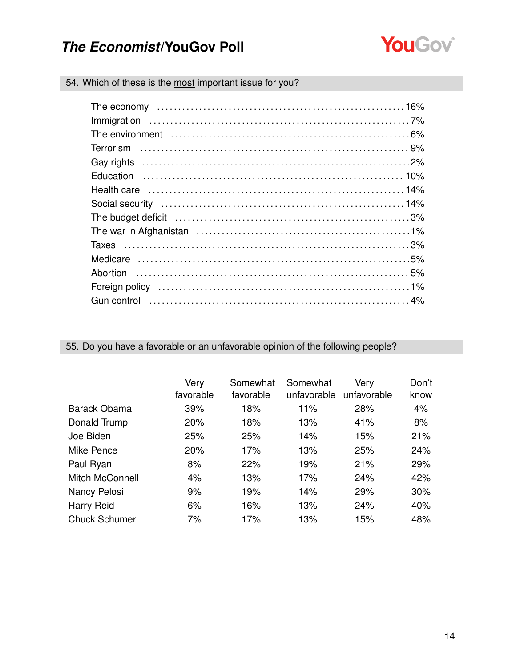

54. Which of these is the most important issue for you?

55. Do you have a favorable or an unfavorable opinion of the following people?

|                      | Very<br>favorable | Somewhat<br>favorable | Somewhat<br>unfavorable | Very<br>unfavorable | Don't<br>know |
|----------------------|-------------------|-----------------------|-------------------------|---------------------|---------------|
| <b>Barack Obama</b>  | 39%               | 18%                   | 11%                     | 28%                 | 4%            |
| Donald Trump         | 20%               | 18%                   | 13%                     | 41%                 | 8%            |
| Joe Biden            | 25%               | 25%                   | 14%                     | 15%                 | 21%           |
| Mike Pence           | 20%               | 17%                   | 13%                     | 25%                 | 24%           |
| Paul Ryan            | 8%                | 22%                   | 19%                     | 21%                 | 29%           |
| Mitch McConnell      | 4%                | 13%                   | 17%                     | 24%                 | 42%           |
| Nancy Pelosi         | 9%                | 19%                   | 14%                     | 29%                 | 30%           |
| Harry Reid           | 6%                | 16%                   | 13%                     | 24%                 | 40%           |
| <b>Chuck Schumer</b> | 7%                | 17%                   | 13%                     | 15%                 | 48%           |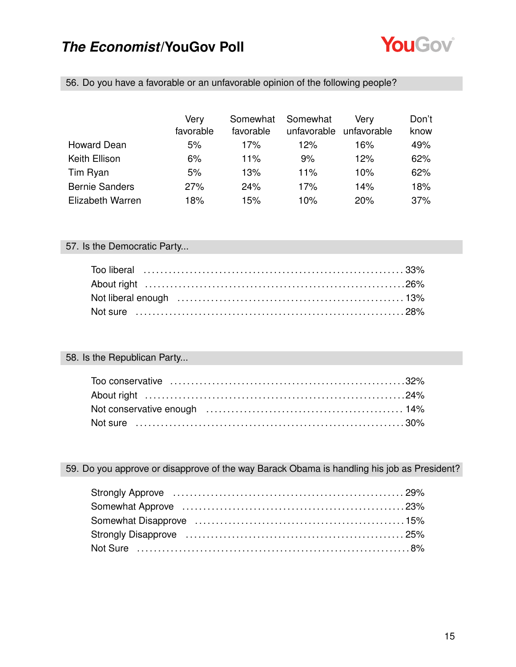

56. Do you have a favorable or an unfavorable opinion of the following people?

|                       | Very<br>favorable | Somewhat<br>favorable | Somewhat<br>unfavorable | Verv<br>unfavorable | Don't<br>know |
|-----------------------|-------------------|-----------------------|-------------------------|---------------------|---------------|
| <b>Howard Dean</b>    | 5%                | 17%                   | 12%                     | 16%                 | 49%           |
| Keith Ellison         | 6%                | 11%                   | 9%                      | 12%                 | 62%           |
| Tim Ryan              | 5%                | 13%                   | 11%                     | 10%                 | 62%           |
| <b>Bernie Sanders</b> | 27%               | 24%                   | 17%                     | 14%                 | 18%           |
| Elizabeth Warren      | 18%               | 15%                   | 10%                     | 20%                 | 37%           |

### 57. Is the Democratic Party...

### 58. Is the Republican Party...

### 59. Do you approve or disapprove of the way Barack Obama is handling his job as President?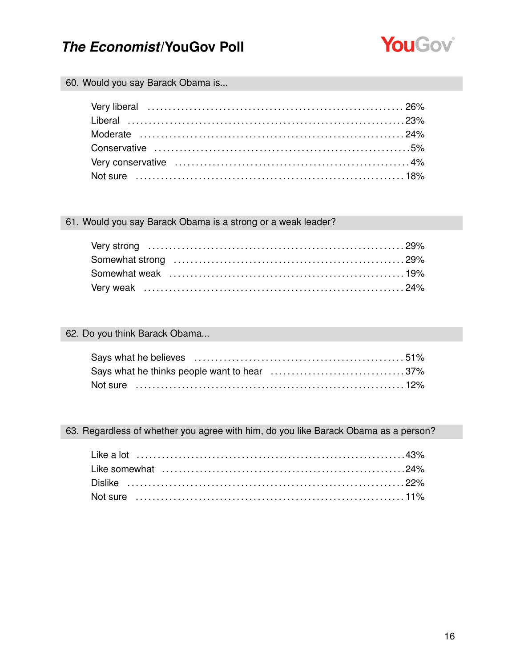

### 60. Would you say Barack Obama is...

### 61. Would you say Barack Obama is a strong or a weak leader?

### 62. Do you think Barack Obama...

### 63. Regardless of whether you agree with him, do you like Barack Obama as a person?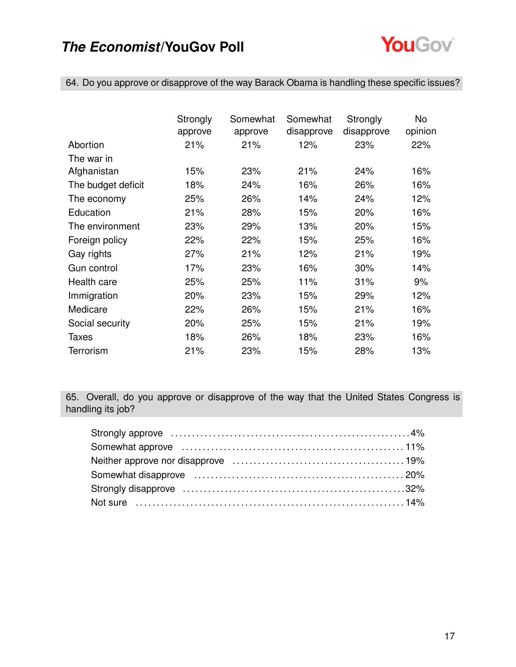

64. Do you approve or disapprove of the way Barack Obama is handling these specific issues?

|                    | Strongly<br>approve | Somewhat<br>approve | Somewhat<br>disapprove | Strongly<br>disapprove | No<br>opinion |
|--------------------|---------------------|---------------------|------------------------|------------------------|---------------|
| Abortion           | 21%                 | 21%                 | 12%                    | 23%                    | 22%           |
| The war in         |                     |                     |                        |                        |               |
| Afghanistan        | 15%                 | 23%                 | 21%                    | 24%                    | 16%           |
| The budget deficit | 18%                 | 24%                 | 16%                    | 26%                    | 16%           |
| The economy        | 25%                 | 26%                 | 14%                    | 24%                    | 12%           |
| Education          | 21%                 | 28%                 | 15%                    | 20%                    | 16%           |
| The environment    | 23%                 | 29%                 | 13%                    | 20%                    | 15%           |
| Foreign policy     | 22%                 | 22%                 | 15%                    | 25%                    | 16%           |
| Gay rights         | 27%                 | 21%                 | 12%                    | 21%                    | 19%           |
| Gun control        | 17%                 | 23%                 | 16%                    | 30%                    | 14%           |
| Health care        | 25%                 | 25%                 | 11%                    | 31%                    | 9%            |
| Immigration        | 20%                 | 23%                 | 15%                    | 29%                    | 12%           |
| Medicare           | 22%                 | 26%                 | 15%                    | 21%                    | 16%           |
| Social security    | 20%                 | 25%                 | 15%                    | 21%                    | 19%           |
| Taxes              | 18%                 | 26%                 | 18%                    | 23%                    | 16%           |
| Terrorism          | 21%                 | 23%                 | 15%                    | 28%                    | 13%           |

65. Overall, do you approve or disapprove of the way that the United States Congress is handling its job?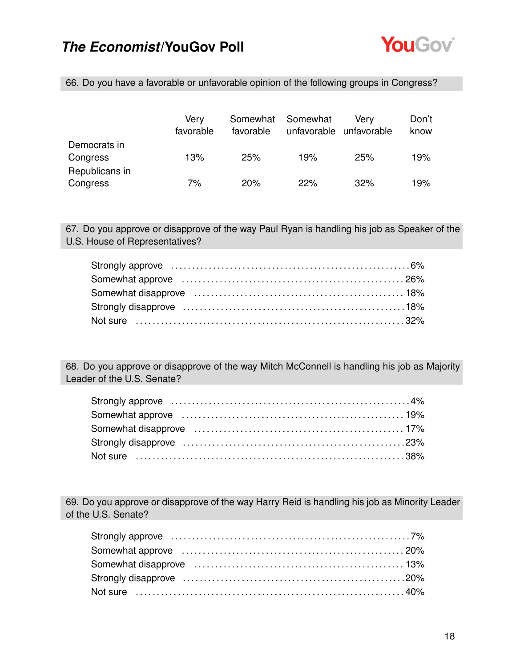

66. Do you have a favorable or unfavorable opinion of the following groups in Congress?

|                            | Verv      | Somewhat  | Somewhat | Verv                    | Don't |
|----------------------------|-----------|-----------|----------|-------------------------|-------|
|                            | favorable | favorable |          | unfavorable unfavorable | know  |
| Democrats in<br>Congress   | 13%       | 25%       | 19%      | 25%                     | 19%   |
| Republicans in<br>Congress | 7%        | 20%       | 22%      | 32%                     | 19%   |

67. Do you approve or disapprove of the way Paul Ryan is handling his job as Speaker of the U.S. House of Representatives?

68. Do you approve or disapprove of the way Mitch McConnell is handling his job as Majority Leader of the U.S. Senate?

69. Do you approve or disapprove of the way Harry Reid is handling his job as Minority Leader of the U.S. Senate?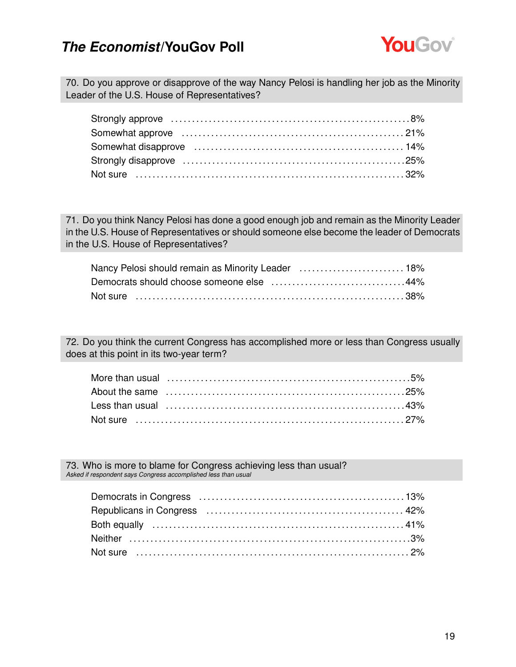

70. Do you approve or disapprove of the way Nancy Pelosi is handling her job as the Minority Leader of the U.S. House of Representatives?

71. Do you think Nancy Pelosi has done a good enough job and remain as the Minority Leader in the U.S. House of Representatives or should someone else become the leader of Democrats in the U.S. House of Representatives?

| Nancy Pelosi should remain as Minority Leader  18% |  |
|----------------------------------------------------|--|
|                                                    |  |
|                                                    |  |

72. Do you think the current Congress has accomplished more or less than Congress usually does at this point in its two-year term?

73. Who is more to blame for Congress achieving less than usual? *Asked if respondent says Congress accomplished less than usual*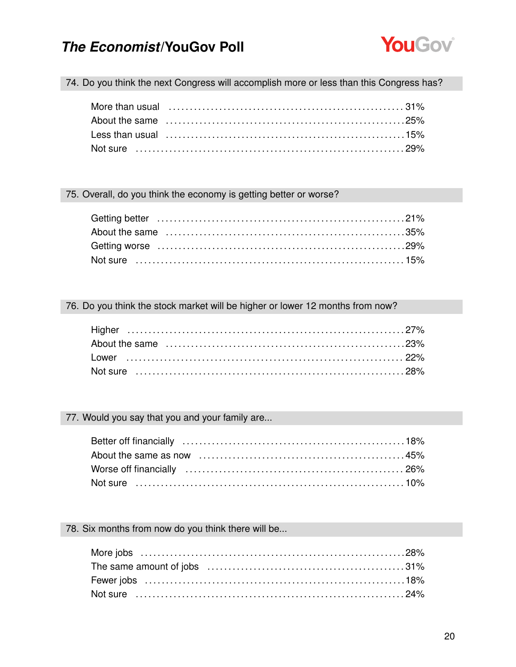

74. Do you think the next Congress will accomplish more or less than this Congress has?

### 75. Overall, do you think the economy is getting better or worse?

### 76. Do you think the stock market will be higher or lower 12 months from now?

### 77. Would you say that you and your family are...

| About the same as now encounteral contracts and the same as About the same as now entries and the same as $45\%$ |  |
|------------------------------------------------------------------------------------------------------------------|--|
|                                                                                                                  |  |
|                                                                                                                  |  |

### 78. Six months from now do you think there will be...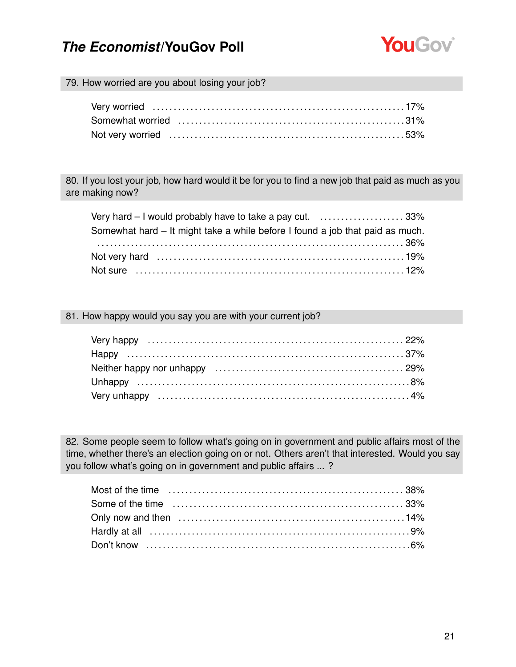

79. How worried are you about losing your job?

80. If you lost your job, how hard would it be for you to find a new job that paid as much as you are making now?

| Very hard – I would probably have to take a pay cut. 33%                      |  |
|-------------------------------------------------------------------------------|--|
| Somewhat hard – It might take a while before I found a job that paid as much. |  |
|                                                                               |  |
|                                                                               |  |
|                                                                               |  |

81. How happy would you say you are with your current job?

82. Some people seem to follow what's going on in government and public affairs most of the time, whether there's an election going on or not. Others aren't that interested. Would you say you follow what's going on in government and public affairs ... ?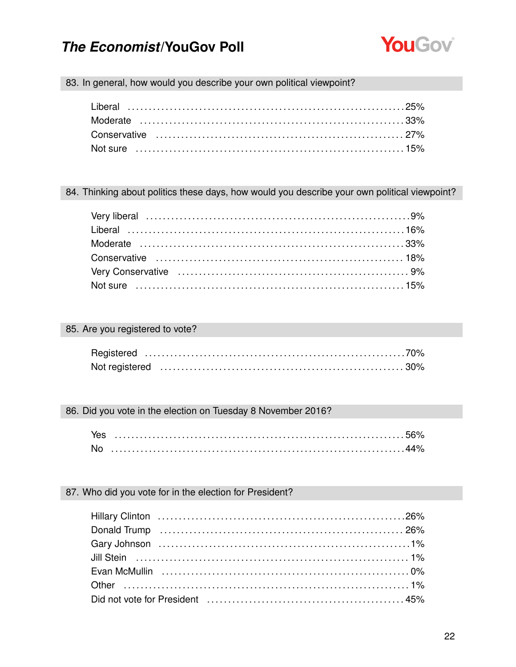

83. In general, how would you describe your own political viewpoint?

### 84. Thinking about politics these days, how would you describe your own political viewpoint?

#### 85. Are you registered to vote?

### 86. Did you vote in the election on Tuesday 8 November 2016?

### 87. Who did you vote for in the election for President?

| Donald Trump (and the continuum control of the control of the control of the control of the control of the control of the control of the control of the control of the control of the control of the control of the control of |  |
|--------------------------------------------------------------------------------------------------------------------------------------------------------------------------------------------------------------------------------|--|
|                                                                                                                                                                                                                                |  |
|                                                                                                                                                                                                                                |  |
|                                                                                                                                                                                                                                |  |
|                                                                                                                                                                                                                                |  |
|                                                                                                                                                                                                                                |  |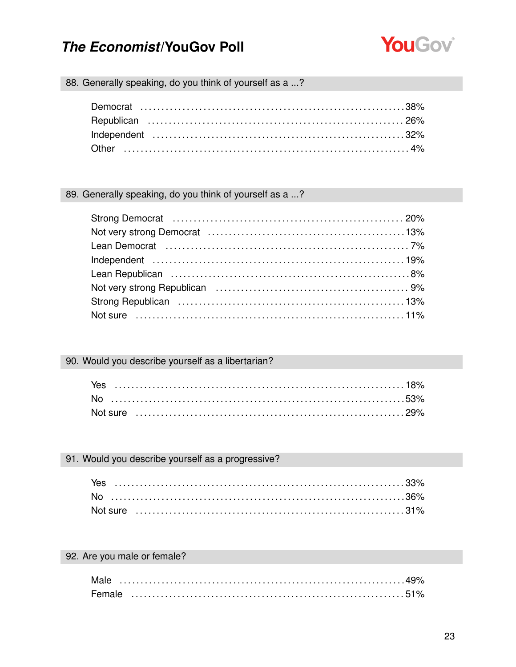

88. Generally speaking, do you think of yourself as a ...?

### 89. Generally speaking, do you think of yourself as a ...?

| Lean Democrat (and the continuum can be contacted as a contract of the contract of the Democration of the Democration of the Democration of the Democration of the Democration of the Democration of the Democration of the De |  |
|--------------------------------------------------------------------------------------------------------------------------------------------------------------------------------------------------------------------------------|--|
|                                                                                                                                                                                                                                |  |
|                                                                                                                                                                                                                                |  |
|                                                                                                                                                                                                                                |  |
|                                                                                                                                                                                                                                |  |
|                                                                                                                                                                                                                                |  |

### 90. Would you describe yourself as a libertarian?

| Yes                                    |  |  |  |  |  |  |  |  |  |  |  |  |  |  |  |  |  |  |  |
|----------------------------------------|--|--|--|--|--|--|--|--|--|--|--|--|--|--|--|--|--|--|--|
|                                        |  |  |  |  |  |  |  |  |  |  |  |  |  |  |  |  |  |  |  |
| Not sure ……………………………………………………………………29% |  |  |  |  |  |  |  |  |  |  |  |  |  |  |  |  |  |  |  |

### 91. Would you describe yourself as a progressive?

| Yes |  |  |  |  |  |  |  |  |  |  |  |  |  |  |  |  |  |  |  |
|-----|--|--|--|--|--|--|--|--|--|--|--|--|--|--|--|--|--|--|--|
|     |  |  |  |  |  |  |  |  |  |  |  |  |  |  |  |  |  |  |  |
|     |  |  |  |  |  |  |  |  |  |  |  |  |  |  |  |  |  |  |  |

### 92. Are you male or female?

| Male              |  |  |  |  |  |  |  |  |  |  |  |  |  |  |  |
|-------------------|--|--|--|--|--|--|--|--|--|--|--|--|--|--|--|
| $\mathsf{Female}$ |  |  |  |  |  |  |  |  |  |  |  |  |  |  |  |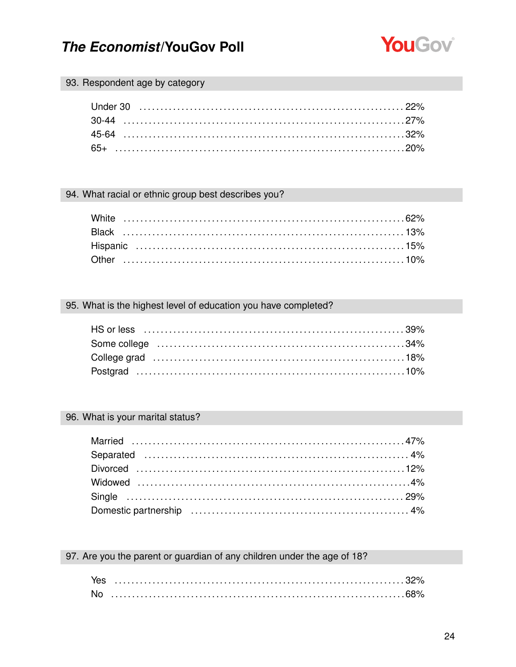

#### 93. Respondent age by category

### 94. What racial or ethnic group best describes you?

#### 95. What is the highest level of education you have completed?

### 96. What is your marital status?

### 97. Are you the parent or guardian of any children under the age of 18?

| N <sub>f</sub> |  |
|----------------|--|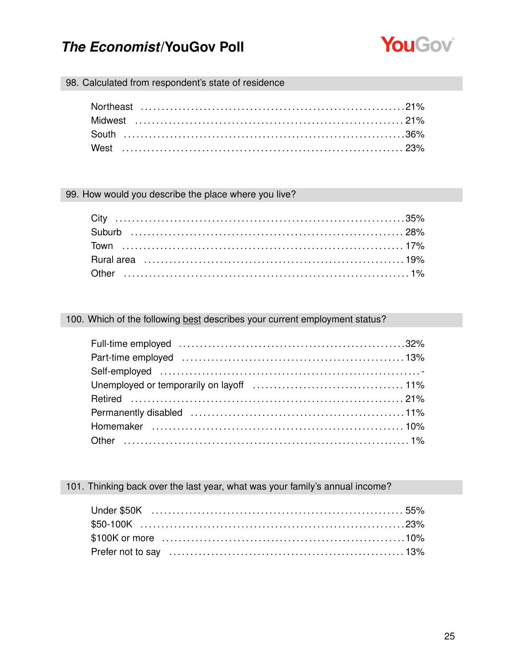

#### 98. Calculated from respondent's state of residence

### 99. How would you describe the place where you live?

### 100. Which of the following best describes your current employment status?

#### 101. Thinking back over the last year, what was your family's annual income?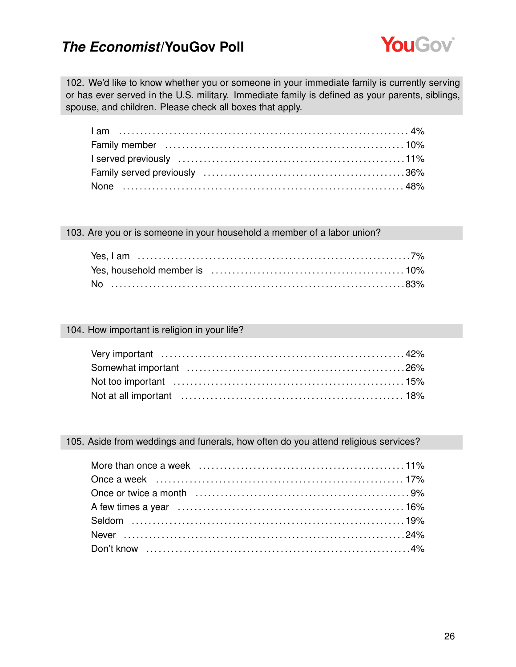

102. We'd like to know whether you or someone in your immediate family is currently serving or has ever served in the U.S. military. Immediate family is defined as your parents, siblings, spouse, and children. Please check all boxes that apply.

#### 103. Are you or is someone in your household a member of a labor union?

#### 104. How important is religion in your life?

#### 105. Aside from weddings and funerals, how often do you attend religious services?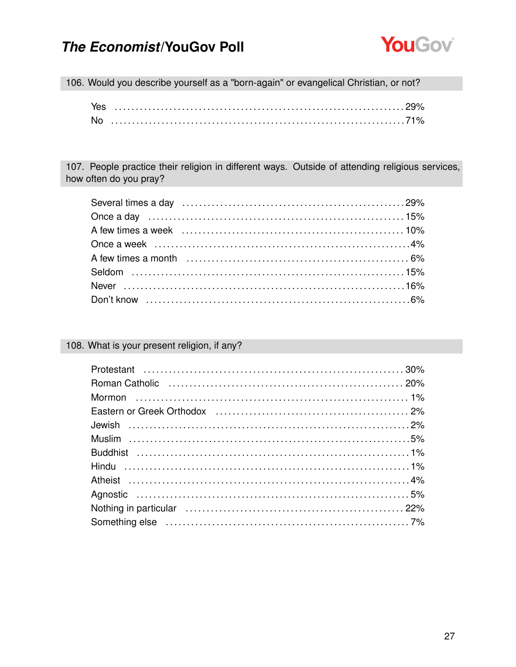

106. Would you describe yourself as a "born-again" or evangelical Christian, or not?

| Yes       |  |
|-----------|--|
| <b>No</b> |  |

107. People practice their religion in different ways. Outside of attending religious services, how often do you pray?

### 108. What is your present religion, if any?